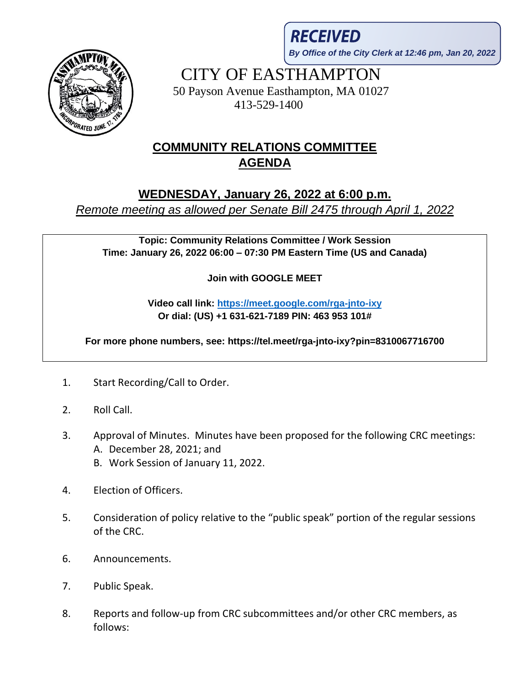**RECEIVED By Office of the City Clerk at 12:46 pm, Jan 20, 2022**



CITY OF EASTHAMPTON 50 Payson Avenue Easthampton, MA 01027 413-529-1400

## **COMMUNITY RELATIONS COMMITTEE AGENDA**

## **WEDNESDAY, January 26, 2022 at 6:00 p.m.**

*Remote meeting as allowed per Senate Bill 2475 through April 1, 2022*

**Topic: Community Relations Committee / Work Session Time: January 26, 2022 06:00 – 07:30 PM Eastern Time (US and Canada)**

**Join with GOOGLE MEET**

**Video call link:<https://meet.google.com/rga-jnto-ixy> Or dial: (US) +1 631-621-7189 PIN: 463 953 101#**

**For more phone numbers, see: https://tel.meet/rga-jnto-ixy?pin=8310067716700**

- 1. Start Recording/Call to Order.
- 2. Roll Call.
- 3. Approval of Minutes. Minutes have been proposed for the following CRC meetings: A. December 28, 2021; and
	- B. Work Session of January 11, 2022.
- 4. Election of Officers.
- 5. Consideration of policy relative to the "public speak" portion of the regular sessions of the CRC.
- 6. Announcements.
- 7. Public Speak.
- 8. Reports and follow-up from CRC subcommittees and/or other CRC members, as follows: